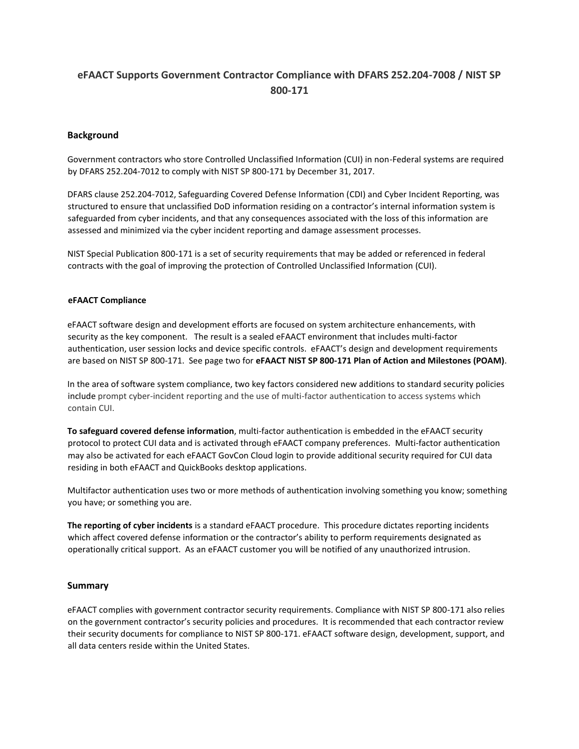## **eFAACT Supports Government Contractor Compliance with DFARS 252.204-7008 / NIST SP 800-171**

## **Background**

Government contractors who store Controlled Unclassified Information (CUI) in non-Federal systems are required by DFARS 252.204-7012 to comply with NIST SP 800-171 by December 31, 2017.

DFARS clause 252.204-7012, Safeguarding Covered Defense Information (CDI) and Cyber Incident Reporting, was structured to ensure that unclassified DoD information residing on a contractor's internal information system is safeguarded from cyber incidents, and that any consequences associated with the loss of this information are assessed and minimized via the cyber incident reporting and damage assessment processes.

NIST Special Publication 800-171 is a set of security requirements that may be added or referenced in federal contracts with the goal of improving the protection of Controlled Unclassified Information (CUI).

## **eFAACT Compliance**

eFAACT software design and development efforts are focused on system architecture enhancements, with security as the key component. The result is a sealed eFAACT environment that includes multi-factor authentication, user session locks and device specific controls. eFAACT's design and development requirements are based on NIST SP 800-171. See page two for **eFAACT NIST SP 800-171 Plan of Action and Milestones (POAM)**.

In the area of software system compliance, two key factors considered new additions to standard security policies include prompt cyber-incident reporting and the use of multi-factor authentication to access systems which contain CUI.

**To safeguard covered defense information**, multi-factor authentication is embedded in the eFAACT security protocol to protect CUI data and is activated through eFAACT company preferences.Multi-factor authentication may also be activated for each eFAACT GovCon Cloud login to provide additional security required for CUI data residing in both eFAACT and QuickBooks desktop applications.

Multifactor authentication uses two or more methods of authentication involving something you know; something you have; or something you are.

**The reporting of cyber incidents** is a standard eFAACT procedure. This procedure dictates reporting incidents which affect covered defense information or the contractor's ability to perform requirements designated as operationally critical support. As an eFAACT customer you will be notified of any unauthorized intrusion.

## **Summary**

eFAACT complies with government contractor security requirements. Compliance with NIST SP 800-171 also relies on the government contractor's security policies and procedures. It is recommended that each contractor review their security documents for compliance to NIST SP 800-171. eFAACT software design, development, support, and all data centers reside within the United States.